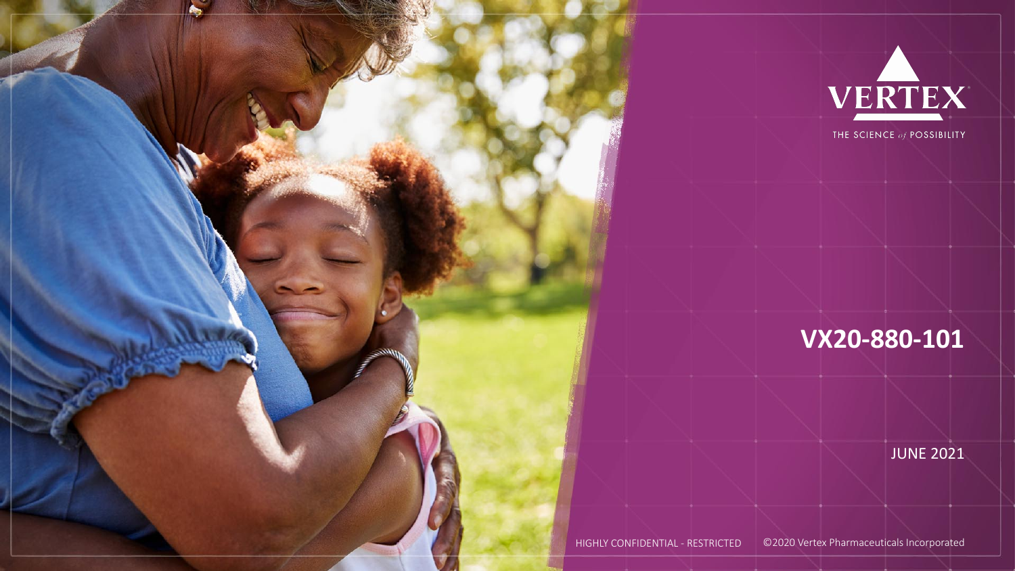



## **VX20-880-101**

**JUNE 2021** 

HIGHLY CONFIDENTIAL - RESTRICTED ©2020 Vertex Pharmaceuticals Incorporated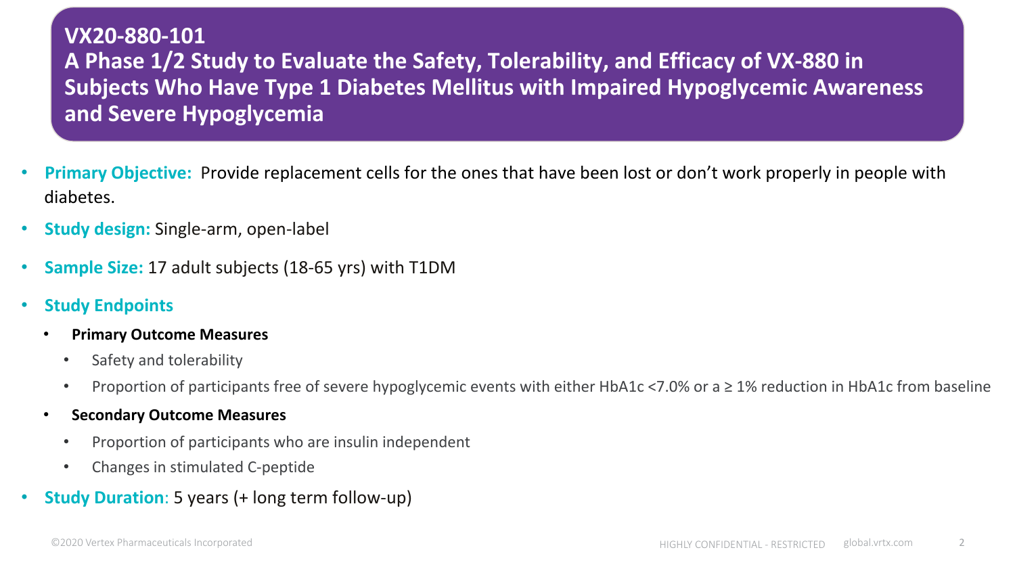#### **VX20-880-101**  A Phase 1/2 Study to Evaluate the Safety, Tolerability, and Efficacy of VX-880 in **Subjects Who Have Type 1 Diabetes Mellitus with Impaired Hypoglycemic Awareness and Severe Hypoglycemia**

- **Primary Objective:** Provide replacement cells for the ones that have been lost or don't work properly in people with diabetes.
- **Study design:** Single-arm, open-label
- **Sample Size: 17 adult subjects (18-65 yrs) with T1DM**
- **Study Endpoints** 
	- **Primary Outcome Measures** 
		- Safety and tolerability
		- Proportion of participants free of severe hypoglycemic events with either HbA1c <7.0% or a  $\geq 1$ % reduction in HbA1c from baseline
	- **Secondary Outcome Measures** 
		- Proportion of participants who are insulin independent
		- Changes in stimulated C-peptide
- **Study Duration**: 5 years (+ long term follow-up)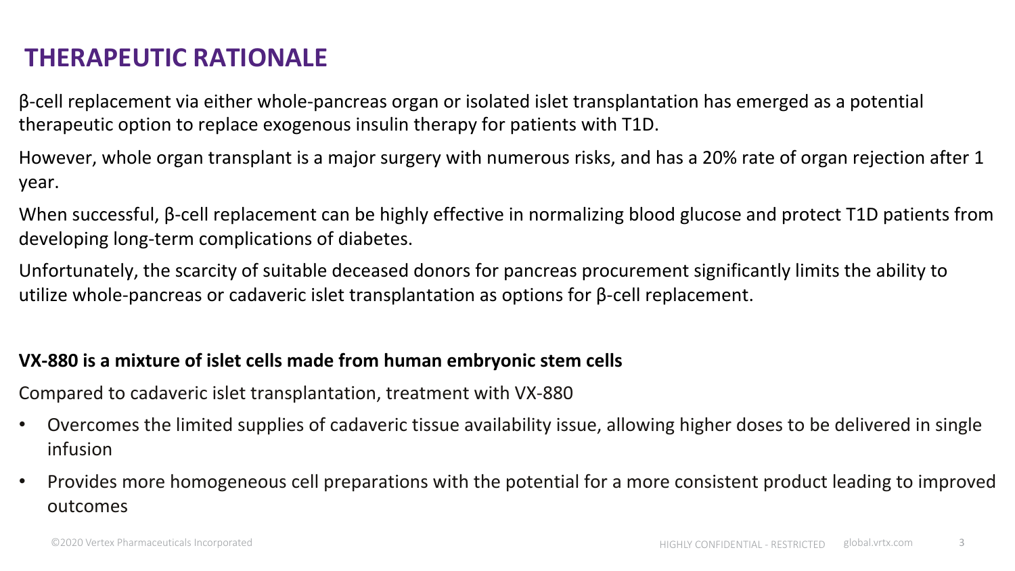### **THERAPEUTIC RATIONALE**

 $β$ -cell replacement via either whole-pancreas organ or isolated islet transplantation has emerged as a potential therapeutic option to replace exogenous insulin therapy for patients with T1D.

However, whole organ transplant is a major surgery with numerous risks, and has a 20% rate of organ rejection after 1 year. 

When successful,  $\beta$ -cell replacement can be highly effective in normalizing blood glucose and protect T1D patients from developing long-term complications of diabetes.

Unfortunately, the scarcity of suitable deceased donors for pancreas procurement significantly limits the ability to utilize whole-pancreas or cadaveric islet transplantation as options for  $\beta$ -cell replacement.

#### **VX-880** is a mixture of islet cells made from human embryonic stem cells

Compared to cadaveric islet transplantation, treatment with VX-880

- Overcomes the limited supplies of cadaveric tissue availability issue, allowing higher doses to be delivered in single infusion
- Provides more homogeneous cell preparations with the potential for a more consistent product leading to improved outcomes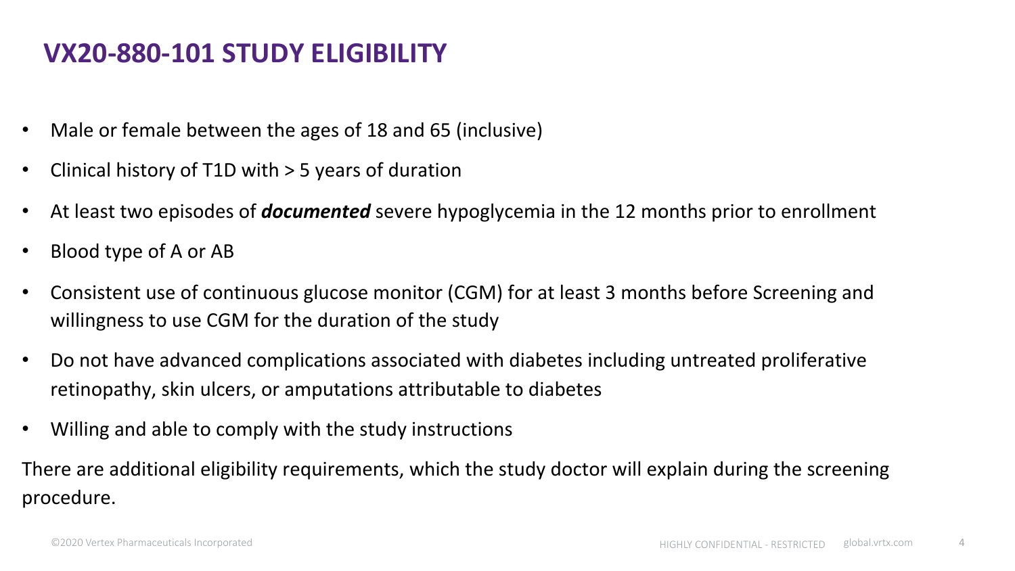### **VX20-880-101 STUDY ELIGIBILITY**

- Male or female between the ages of 18 and 65 (inclusive)
- Clinical history of T1D with  $>$  5 years of duration
- At least two episodes of **documented** severe hypoglycemia in the 12 months prior to enrollment
- Blood type of A or AB
- Consistent use of continuous glucose monitor (CGM) for at least 3 months before Screening and willingness to use CGM for the duration of the study
- Do not have advanced complications associated with diabetes including untreated proliferative retinopathy, skin ulcers, or amputations attributable to diabetes
- Willing and able to comply with the study instructions

There are additional eligibility requirements, which the study doctor will explain during the screening procedure.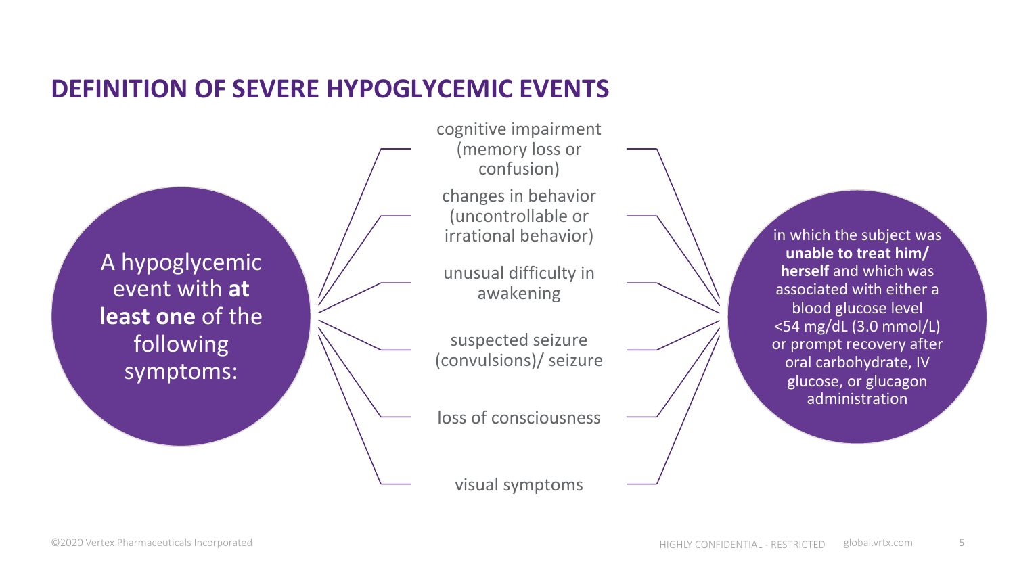#### **DEFINITION OF SEVERE HYPOGLYCEMIC EVENTS**

A hypoglycemic event with at **least one** of the following symptoms:

cognitive impairment (memory loss or confusion) changes in behavior (uncontrollable or irrational behavior)

unusual difficulty in awakening 

suspected seizure (convulsions)/ seizure 

loss of consciousness

visual symptoms

in which the subject was **unable to treat him/ herself** and which was associated with either a blood glucose level <54 mg/dL (3.0 mmol/L) or prompt recovery after oral carbohydrate, IV glucose, or glucagon administration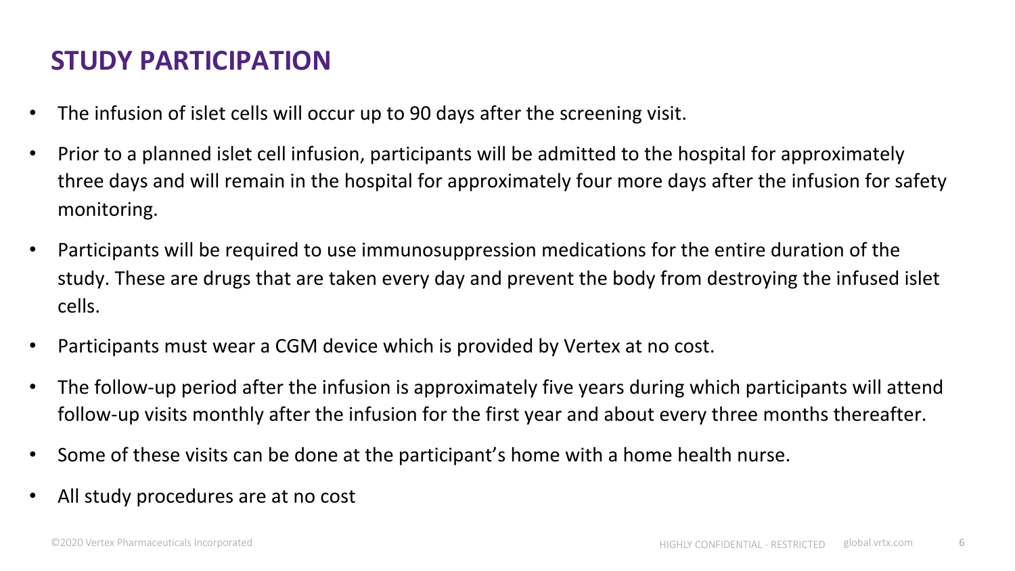# **STUDY PARTICIPATION**

- The infusion of islet cells will occur up to 90 days after the screening visit.
- Prior to a planned islet cell infusion, participants will be admitted to the hospital for approximately three days and will remain in the hospital for approximately four more days after the infusion for safety monitoring.
- Participants will be required to use immunosuppression medications for the entire duration of the study. These are drugs that are taken every day and prevent the body from destroying the infused islet cells.
- Participants must wear a CGM device which is provided by Vertex at no cost.
- The follow-up period after the infusion is approximately five years during which participants will attend follow-up visits monthly after the infusion for the first year and about every three months thereafter.
- Some of these visits can be done at the participant's home with a home health nurse.
- All study procedures are at no cost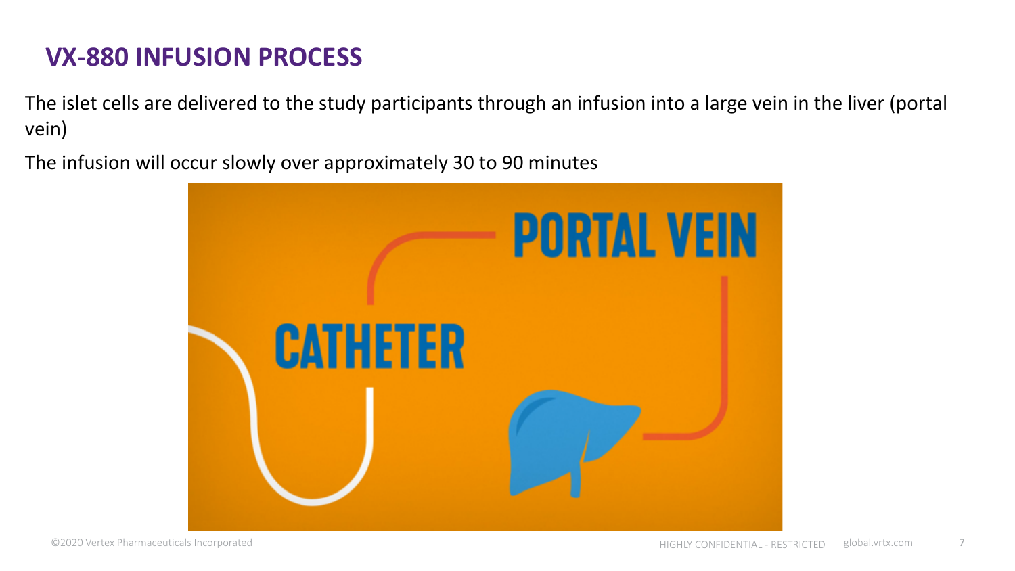### **VX-880 INFUSION PROCESS**

The islet cells are delivered to the study participants through an infusion into a large vein in the liver (portal vein) 

The infusion will occur slowly over approximately 30 to 90 minutes

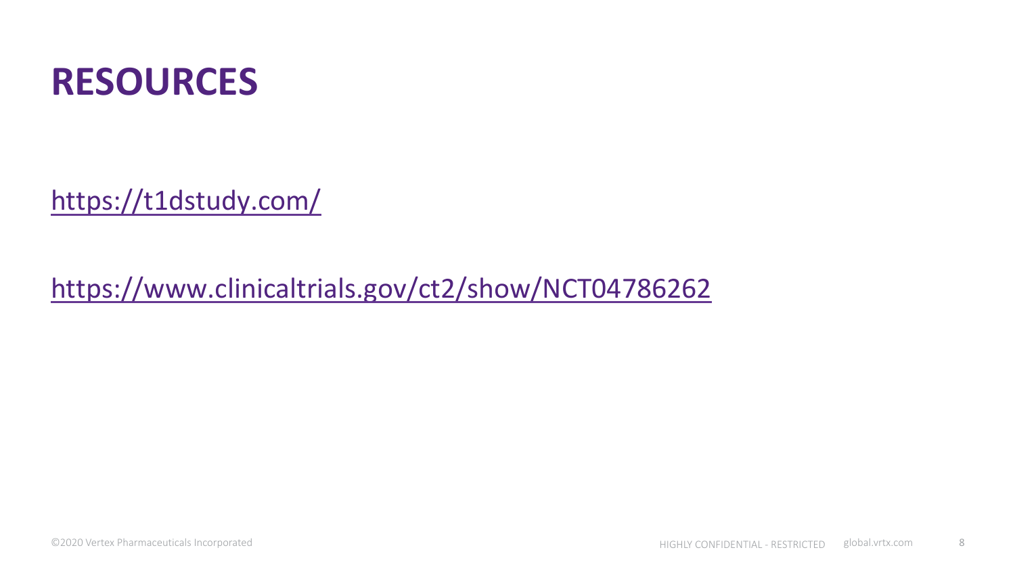

https://t1dstudy.com/

https://www.clinicaltrials.gov/ct2/show/NCT04786262